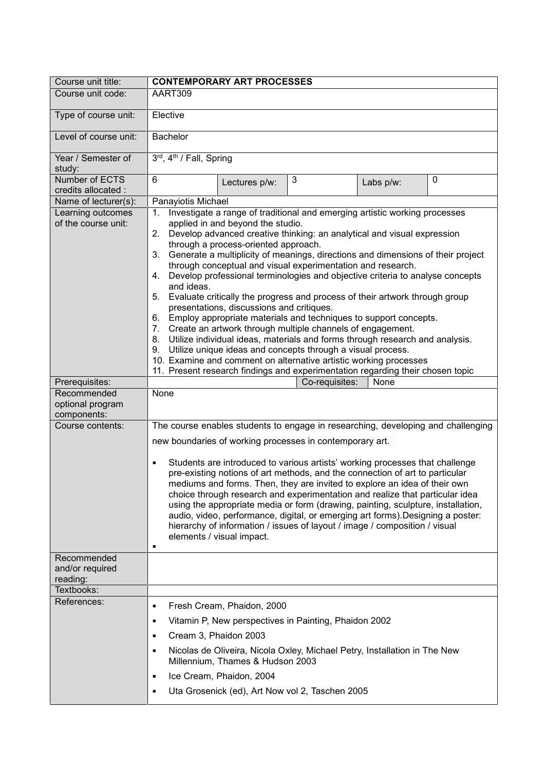| Course unit title:                                                 | <b>CONTEMPORARY ART PROCESSES</b>                                                                                                                                                                                                                                                                                                                                                                                                                                                                                                                                                                                                                                                                                                                                                                                                                                                                                                                                                                               |
|--------------------------------------------------------------------|-----------------------------------------------------------------------------------------------------------------------------------------------------------------------------------------------------------------------------------------------------------------------------------------------------------------------------------------------------------------------------------------------------------------------------------------------------------------------------------------------------------------------------------------------------------------------------------------------------------------------------------------------------------------------------------------------------------------------------------------------------------------------------------------------------------------------------------------------------------------------------------------------------------------------------------------------------------------------------------------------------------------|
| Course unit code:                                                  | AART309                                                                                                                                                                                                                                                                                                                                                                                                                                                                                                                                                                                                                                                                                                                                                                                                                                                                                                                                                                                                         |
| Type of course unit:                                               | Elective                                                                                                                                                                                                                                                                                                                                                                                                                                                                                                                                                                                                                                                                                                                                                                                                                                                                                                                                                                                                        |
| Level of course unit:                                              | <b>Bachelor</b>                                                                                                                                                                                                                                                                                                                                                                                                                                                                                                                                                                                                                                                                                                                                                                                                                                                                                                                                                                                                 |
| Year / Semester of<br>study:                                       | 3rd, 4th / Fall, Spring                                                                                                                                                                                                                                                                                                                                                                                                                                                                                                                                                                                                                                                                                                                                                                                                                                                                                                                                                                                         |
| Number of ECTS<br>credits allocated :                              | 6<br>3<br>$\mathbf 0$<br>Lectures p/w:<br>Labs p/w:                                                                                                                                                                                                                                                                                                                                                                                                                                                                                                                                                                                                                                                                                                                                                                                                                                                                                                                                                             |
| Name of lecturer(s):                                               | Panayiotis Michael                                                                                                                                                                                                                                                                                                                                                                                                                                                                                                                                                                                                                                                                                                                                                                                                                                                                                                                                                                                              |
| Learning outcomes<br>of the course unit:                           | Investigate a range of traditional and emerging artistic working processes<br>1.<br>applied in and beyond the studio.<br>2. Develop advanced creative thinking: an analytical and visual expression<br>through a process-oriented approach.<br>Generate a multiplicity of meanings, directions and dimensions of their project<br>3.<br>through conceptual and visual experimentation and research.<br>Develop professional terminologies and objective criteria to analyse concepts<br>4.<br>and ideas.<br>Evaluate critically the progress and process of their artwork through group<br>5.<br>presentations, discussions and critiques.<br>6. Employ appropriate materials and techniques to support concepts.<br>Create an artwork through multiple channels of engagement.<br>7.<br>8. Utilize individual ideas, materials and forms through research and analysis.<br>9. Utilize unique ideas and concepts through a visual process.<br>10. Examine and comment on alternative artistic working processes |
|                                                                    | 11. Present research findings and experimentation regarding their chosen topic                                                                                                                                                                                                                                                                                                                                                                                                                                                                                                                                                                                                                                                                                                                                                                                                                                                                                                                                  |
| Prerequisites:                                                     | Co-requisites:<br>None                                                                                                                                                                                                                                                                                                                                                                                                                                                                                                                                                                                                                                                                                                                                                                                                                                                                                                                                                                                          |
| Recommended<br>optional program<br>components:<br>Course contents: | None<br>The course enables students to engage in researching, developing and challenging                                                                                                                                                                                                                                                                                                                                                                                                                                                                                                                                                                                                                                                                                                                                                                                                                                                                                                                        |
|                                                                    | new boundaries of working processes in contemporary art.<br>Students are introduced to various artists' working processes that challenge<br>٠<br>pre-existing notions of art methods, and the connection of art to particular<br>mediums and forms. Then, they are invited to explore an idea of their own<br>choice through research and experimentation and realize that particular idea<br>using the appropriate media or form (drawing, painting, sculpture, installation,<br>audio, video, performance, digital, or emerging art forms). Designing a poster:<br>hierarchy of information / issues of layout / image / composition / visual<br>elements / visual impact.<br>٠                                                                                                                                                                                                                                                                                                                               |
| Recommended<br>and/or required<br>reading:<br>Textbooks:           |                                                                                                                                                                                                                                                                                                                                                                                                                                                                                                                                                                                                                                                                                                                                                                                                                                                                                                                                                                                                                 |
| References:                                                        |                                                                                                                                                                                                                                                                                                                                                                                                                                                                                                                                                                                                                                                                                                                                                                                                                                                                                                                                                                                                                 |
|                                                                    | Fresh Cream, Phaidon, 2000<br>٠<br>Vitamin P, New perspectives in Painting, Phaidon 2002<br>٠<br>Cream 3, Phaidon 2003<br>٠                                                                                                                                                                                                                                                                                                                                                                                                                                                                                                                                                                                                                                                                                                                                                                                                                                                                                     |
|                                                                    | Nicolas de Oliveira, Nicola Oxley, Michael Petry, Installation in The New<br>٠<br>Millennium, Thames & Hudson 2003                                                                                                                                                                                                                                                                                                                                                                                                                                                                                                                                                                                                                                                                                                                                                                                                                                                                                              |
|                                                                    | Ice Cream, Phaidon, 2004<br>٠                                                                                                                                                                                                                                                                                                                                                                                                                                                                                                                                                                                                                                                                                                                                                                                                                                                                                                                                                                                   |
|                                                                    | Uta Grosenick (ed), Art Now vol 2, Taschen 2005<br>٠                                                                                                                                                                                                                                                                                                                                                                                                                                                                                                                                                                                                                                                                                                                                                                                                                                                                                                                                                            |